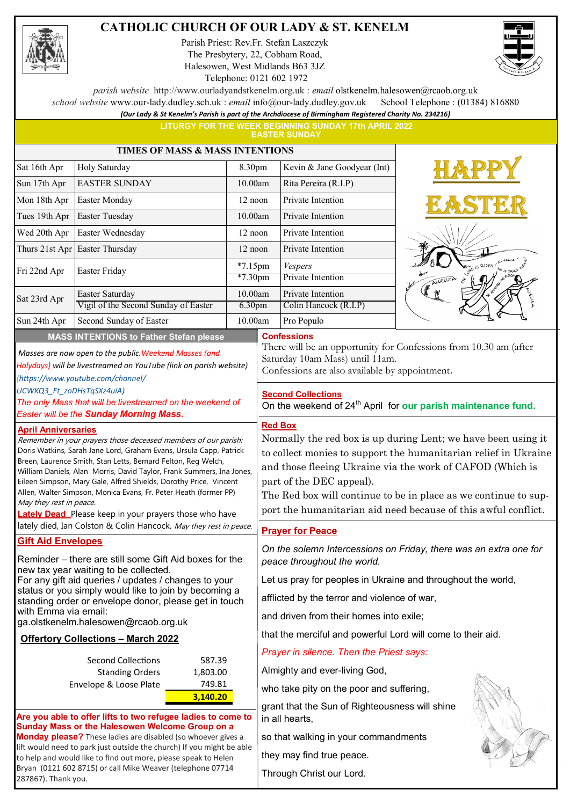#### **CATHOLIC CHURCH OF OUR LADY & ST. KENELM**

Parish Priest: Rev.Fr. Stefan Laszczyk The Presbytery, 22, Cobham Road, Halesowen, West Midlands B63 3JZ Telephone: 0121 602 1972



*parish website* http://www.ourladyandstkenelm.org.uk : *email* olstkenelm.halesowen@rcaob.org.uk

*school website* www.our-lady.dudley.sch.uk : *email* info@our-lady.dudley.gov.uk School Telephone : (01384) 816880

*(Our Lady & St Kenelm's Parish is part of the Archdiocese of Birmingham Registered Charity No. 234216)* **LITURGY FOR THE WEEK BEGINNING SUNDAY 17th APRIL 2022** 

**EASTER SUNDAY**

| <b>TIMES OF MASS &amp; MASS INTENTIONS</b>                                                                                                                                                                                                                                                                                                                                                                                                                                                                                                        |                                                                                                                                         |                               |                                      |                                                                                                                                                                                                                                                                                                                                                                |       |  |
|---------------------------------------------------------------------------------------------------------------------------------------------------------------------------------------------------------------------------------------------------------------------------------------------------------------------------------------------------------------------------------------------------------------------------------------------------------------------------------------------------------------------------------------------------|-----------------------------------------------------------------------------------------------------------------------------------------|-------------------------------|--------------------------------------|----------------------------------------------------------------------------------------------------------------------------------------------------------------------------------------------------------------------------------------------------------------------------------------------------------------------------------------------------------------|-------|--|
| Sat 16th Apr                                                                                                                                                                                                                                                                                                                                                                                                                                                                                                                                      | Holy Saturday                                                                                                                           | 8.30pm                        |                                      | Kevin & Jane Goodyear (Int)                                                                                                                                                                                                                                                                                                                                    |       |  |
| Sun 17th Apr                                                                                                                                                                                                                                                                                                                                                                                                                                                                                                                                      | <b>EASTER SUNDAY</b>                                                                                                                    | 10.00am                       |                                      | Rita Pereira (R.I.P)                                                                                                                                                                                                                                                                                                                                           |       |  |
| Mon 18th Apr                                                                                                                                                                                                                                                                                                                                                                                                                                                                                                                                      | Easter Monday                                                                                                                           | 12 noon                       |                                      | Private Intention                                                                                                                                                                                                                                                                                                                                              |       |  |
| Tues 19th Apr                                                                                                                                                                                                                                                                                                                                                                                                                                                                                                                                     | Easter Tuesday                                                                                                                          | 10.00am                       |                                      | Private Intention                                                                                                                                                                                                                                                                                                                                              |       |  |
| Wed 20th Apr                                                                                                                                                                                                                                                                                                                                                                                                                                                                                                                                      | Easter Wednesday                                                                                                                        | 12 noon                       |                                      | Private Intention                                                                                                                                                                                                                                                                                                                                              |       |  |
| Thurs 21st Apr                                                                                                                                                                                                                                                                                                                                                                                                                                                                                                                                    | Easter Thursday                                                                                                                         | 12 noon                       |                                      | Private Intention                                                                                                                                                                                                                                                                                                                                              |       |  |
| Fri 22nd Apr                                                                                                                                                                                                                                                                                                                                                                                                                                                                                                                                      | Easter Friday                                                                                                                           | $*7.15$ pm                    |                                      | Vespers                                                                                                                                                                                                                                                                                                                                                        | RISEN |  |
|                                                                                                                                                                                                                                                                                                                                                                                                                                                                                                                                                   |                                                                                                                                         | $*7.30$ pm                    |                                      | Private Intention                                                                                                                                                                                                                                                                                                                                              |       |  |
| Sat 23rd Apr                                                                                                                                                                                                                                                                                                                                                                                                                                                                                                                                      | Easter Saturday                                                                                                                         | 10.00am<br>6.30 <sub>pm</sub> |                                      | Private Intention                                                                                                                                                                                                                                                                                                                                              |       |  |
|                                                                                                                                                                                                                                                                                                                                                                                                                                                                                                                                                   | Vigil of the Second Sunday of Easter                                                                                                    |                               |                                      | Colin Hancock (R.I.P)                                                                                                                                                                                                                                                                                                                                          |       |  |
| Sun 24th Apr                                                                                                                                                                                                                                                                                                                                                                                                                                                                                                                                      | Second Sunday of Easter<br><b>MASS INTENTIONS to Father Stefan please</b>                                                               | 10.00am                       |                                      | Pro Populo<br><b>Confessions</b>                                                                                                                                                                                                                                                                                                                               |       |  |
| Masses are now open to the public. Weekend Masses (and<br>Holydays) will be livestreamed on YouTube (link on parish website)<br>(https://www.youtube.com/channel/                                                                                                                                                                                                                                                                                                                                                                                 |                                                                                                                                         |                               |                                      | There will be an opportunity for Confessions from 10.30 am (after<br>Saturday 10am Mass) until 11am.<br>Confessions are also available by appointment.                                                                                                                                                                                                         |       |  |
| UCWKQ3_Ft_zoDHsTqSXz4uiA)<br>The only Mass that will be livestreamed on the weekend of<br><b>Easter will be the Sunday Morning Mass.</b>                                                                                                                                                                                                                                                                                                                                                                                                          |                                                                                                                                         |                               |                                      | <b>Second Collections</b><br>On the weekend of 24 <sup>th</sup> April for our parish maintenance fund.<br><b>Red Box</b>                                                                                                                                                                                                                                       |       |  |
| <b>April Anniversaries</b><br>Remember in your prayers those deceased members of our parish:<br>Doris Watkins, Sarah Jane Lord, Graham Evans, Ursula Capp, Patrick<br>Breen, Laurence Smith, Stan Letts, Bernard Felton, Reg Welch,<br>William Daniels, Alan Morris, David Taylor, Frank Summers, Ina Jones,<br>Eileen Simpson, Mary Gale, Alfred Shields, Dorothy Price, Vincent<br>Allen, Walter Simpson, Monica Evans, Fr. Peter Heath (former PP)<br>May they rest in peace.<br><b>Lately Dead</b> Please keep in your prayers those who have |                                                                                                                                         |                               |                                      | Normally the red box is up during Lent; we have been using it<br>to collect monies to support the humanitarian relief in Ukraine<br>and those fleeing Ukraine via the work of CAFOD (Which is<br>part of the DEC appeal).<br>The Red box will continue to be in place as we continue to sup-<br>port the humanitarian aid need because of this awful conflict. |       |  |
| lately died, Ian Colston & Colin Hancock. May they rest in peace.                                                                                                                                                                                                                                                                                                                                                                                                                                                                                 |                                                                                                                                         |                               |                                      | <b>Prayer for Peace</b>                                                                                                                                                                                                                                                                                                                                        |       |  |
| <b>Gift Aid Envelopes</b><br>Reminder - there are still some Gift Aid boxes for the                                                                                                                                                                                                                                                                                                                                                                                                                                                               |                                                                                                                                         |                               |                                      | On the solemn Intercessions on Friday, there was an extra one for<br>peace throughout the world.                                                                                                                                                                                                                                                               |       |  |
| new tax year waiting to be collected.<br>For any gift aid queries / updates / changes to your<br>status or you simply would like to join by becoming a<br>standing order or envelope donor, please get in touch<br>with Emma via email:<br>ga.olstkenelm.halesowen@rcaob.org.uk                                                                                                                                                                                                                                                                   |                                                                                                                                         |                               |                                      | Let us pray for peoples in Ukraine and throughout the world,                                                                                                                                                                                                                                                                                                   |       |  |
|                                                                                                                                                                                                                                                                                                                                                                                                                                                                                                                                                   |                                                                                                                                         |                               |                                      | afflicted by the terror and violence of war,                                                                                                                                                                                                                                                                                                                   |       |  |
|                                                                                                                                                                                                                                                                                                                                                                                                                                                                                                                                                   |                                                                                                                                         |                               |                                      |                                                                                                                                                                                                                                                                                                                                                                |       |  |
|                                                                                                                                                                                                                                                                                                                                                                                                                                                                                                                                                   |                                                                                                                                         |                               |                                      | and driven from their homes into exile;                                                                                                                                                                                                                                                                                                                        |       |  |
|                                                                                                                                                                                                                                                                                                                                                                                                                                                                                                                                                   | <b>Offertory Collections - March 2022</b>                                                                                               |                               |                                      | that the merciful and powerful Lord will come to their aid.                                                                                                                                                                                                                                                                                                    |       |  |
| <b>Second Collections</b><br>587.39                                                                                                                                                                                                                                                                                                                                                                                                                                                                                                               |                                                                                                                                         |                               |                                      | Prayer in silence. Then the Priest says:                                                                                                                                                                                                                                                                                                                       |       |  |
|                                                                                                                                                                                                                                                                                                                                                                                                                                                                                                                                                   | <b>Standing Orders</b><br>1,803.00                                                                                                      |                               |                                      | Almighty and ever-living God,                                                                                                                                                                                                                                                                                                                                  |       |  |
|                                                                                                                                                                                                                                                                                                                                                                                                                                                                                                                                                   | Envelope & Loose Plate<br>749.81                                                                                                        |                               |                                      | who take pity on the poor and suffering,                                                                                                                                                                                                                                                                                                                       |       |  |
| 3,140.20<br>Are you able to offer lifts to two refugee ladies to come to<br>Sunday Mass or the Halesowen Welcome Group on a<br>Monday please? These ladies are disabled (so whoever gives a                                                                                                                                                                                                                                                                                                                                                       |                                                                                                                                         |                               |                                      | grant that the Sun of Righteousness will shine<br>in all hearts,                                                                                                                                                                                                                                                                                               |       |  |
|                                                                                                                                                                                                                                                                                                                                                                                                                                                                                                                                                   |                                                                                                                                         |                               | so that walking in your commandments |                                                                                                                                                                                                                                                                                                                                                                |       |  |
|                                                                                                                                                                                                                                                                                                                                                                                                                                                                                                                                                   | lift would need to park just outside the church) If you might be able<br>to help and would like to find out more, please speak to Helen |                               |                                      | they may find true peace.                                                                                                                                                                                                                                                                                                                                      |       |  |
| Bryan (0121 602 8715) or call Mike Weaver (telephone 07714                                                                                                                                                                                                                                                                                                                                                                                                                                                                                        |                                                                                                                                         |                               |                                      | Through Christ our Lord.                                                                                                                                                                                                                                                                                                                                       |       |  |

287867). Thank you.